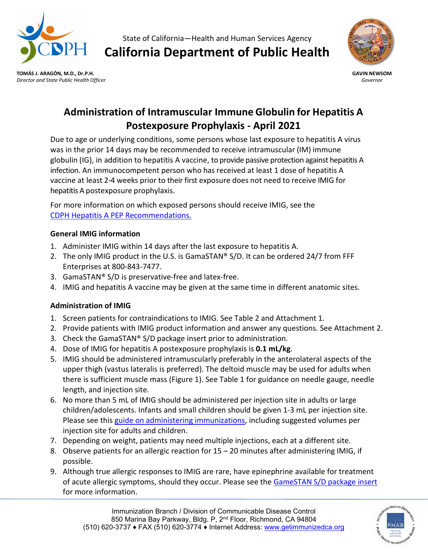

State of California—Health and Human Services Agency **California Department of Public Health**





# **Administration of Intramuscular Immune Globulin for Hepatitis A Postexposure Prophylaxis - April 2021**

Due to age or underlying conditions, some persons whose last exposure to hepatitis A virus was in the prior 14 days may be recommended to receive intramuscular (IM) immune globulin (IG), in addition to hepatitis A vaccine, to provide passive protection against hepatitis A infection. An immunocompetent person who has received at least 1 dose of hepatitis A vaccine at least 2-4 weeks prior to their first exposure does not need to receive IMIG for hepatitis A postexposure prophylaxis.

For more information on which exposed persons should receive IMIG, see the [CDPH Hepatitis A PEP Recommendations.](https://www.cdph.ca.gov/Programs/CID/DCDC/CDPH%20Document%20Library/Immunization/HepatitisA-PEPQuicksheet.pdf)

# **General IMIG information**

- 1. Administer IMIG within 14 days after the last exposure to hepatitis A.
- 2. The only IMIG product in the U.S. is GamaSTAN® S/D. It can be ordered 24/7 from FFF Enterprises at 800-843-7477.
- 3. GamaSTAN® S/D is preservative-free and latex-free.
- 4. IMIG and hepatitis A vaccine may be given at the same time in different anatomic sites.

# **Administration of IMIG**

- 1. Screen patients for contraindications to IMIG. See Table 2 and Attachment 1.
- 2. Provide patients with IMIG product information and answer any questions. See Attachment 2.
- 3. Check the GamaSTAN® S/D package insert prior to administration.
- 4. Dose of IMIG for hepatitis A postexposure prophylaxis is **0.1 mL/kg**.
- 5. IMIG should be administered intramuscularly preferably in the anterolateral aspects of the upper thigh (vastus lateralis is preferred). The deltoid muscle may be used for adults when there is sufficient muscle mass (Figure 1). See Table 1 for guidance on needle gauge, needle length, and injection site.
- 6. No more than 5 mL of IMIG should be administered per injection site in adults or large children/adolescents. Infants and small children should be given 1-3 mL per injection site. Please see this [guide on administering immunizations,](https://www.immunize.org/askexperts/administering-vaccines.asp) including suggested volumes per injection site for adults and children.
- 7. Depending on weight, patients may need multiple injections, each at a different site.
- 8. Observe patients for an allergic reaction for 15 20 minutes after administering IMIG, if possible.
- 9. Although true allergic responses to IMIG are rare, have epinephrine available for treatment of acute allergic symptoms, should they occur. Please see the [GameSTAN S/D package insert](https://www.fda.gov/media/86789/download) for more information.

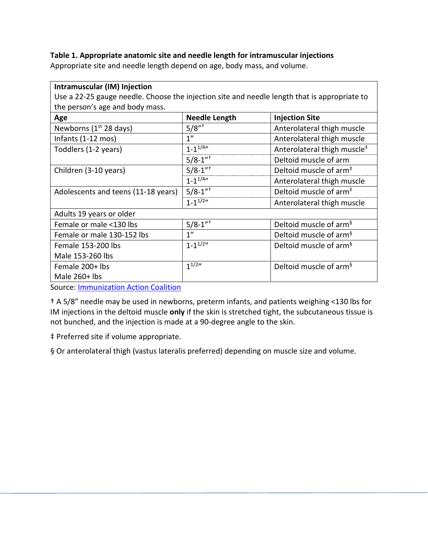## **Table 1. Appropriate anatomic site and needle length for intramuscular injections**

Appropriate site and needle length depend on age, body mass, and volume.

| Intramuscular (IM) Injection                                                                 |                            |                                         |  |  |  |
|----------------------------------------------------------------------------------------------|----------------------------|-----------------------------------------|--|--|--|
| Use a 22-25 gauge needle. Choose the injection site and needle length that is appropriate to |                            |                                         |  |  |  |
| the person's age and body mass.                                                              |                            |                                         |  |  |  |
| Age                                                                                          | <b>Needle Length</b>       | <b>Injection Site</b>                   |  |  |  |
| Newborns $(1st 28$ days)                                                                     | $5/8"$ <sup>+</sup>        | Anterolateral thigh muscle              |  |  |  |
| Infants (1-12 mos)                                                                           | 1 <sup>n</sup>             | Anterolateral thigh muscle              |  |  |  |
| Toddlers (1-2 years)                                                                         | $1 - 1^{1/4}$              | Anterolateral thigh muscle <sup>#</sup> |  |  |  |
|                                                                                              | $5/8 - 1"$                 | Deltoid muscle of arm                   |  |  |  |
| Children (3-10 years)                                                                        | $5/8 - 1^{\overline{n+1}}$ | Deltoid muscle of arm <sup>#</sup>      |  |  |  |
|                                                                                              | $1 - 1^{1/4}$              | Anterolateral thigh muscle              |  |  |  |
| Adolescents and teens (11-18 years)                                                          | $5/8 - 1''$ <sup>+</sup>   | Deltoid muscle of arm <sup>#</sup>      |  |  |  |
|                                                                                              | $1 - 1^{1/2n}$             | Anterolateral thigh muscle              |  |  |  |
| Adults 19 years or older                                                                     |                            |                                         |  |  |  |
| Female or male <130 lbs                                                                      | $5/8 - 1''$ <sup>+</sup>   | Deltoid muscle of arm <sup>§</sup>      |  |  |  |
| Female or male 130-152 lbs                                                                   | 1 <sup>''</sup>            | Deltoid muscle of arm <sup>§</sup>      |  |  |  |
| Female 153-200 lbs                                                                           | $1 - 1^{1/2}$              | Deltoid muscle of arm <sup>§</sup>      |  |  |  |
| Male 153-260 lbs                                                                             |                            |                                         |  |  |  |
| Female 200+ lbs                                                                              | $1^{1/2}$                  | Deltoid muscle of arm <sup>§</sup>      |  |  |  |
| Male $260+$ lbs                                                                              |                            |                                         |  |  |  |

Source: **Immunization Action Coalition** 

† A 5/8" needle may be used in newborns, preterm infants, and patients weighing <130 lbs for IM injections in the deltoid muscle **only** if the skin is stretched tight, the subcutaneous tissue is not bunched, and the injection is made at a 90-degree angle to the skin.

‡ Preferred site if volume appropriate.

§ Or anterolateral thigh (vastus lateralis preferred) depending on muscle size and volume.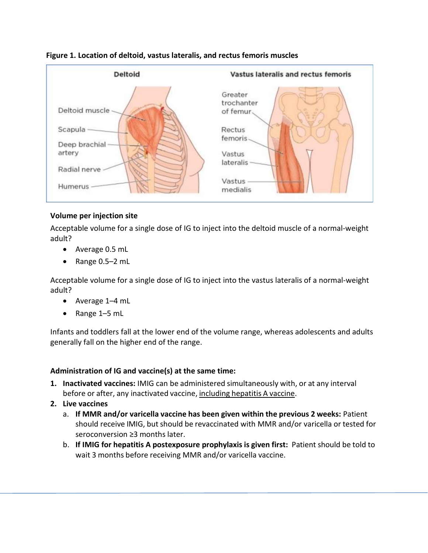

#### **Figure 1. Location of deltoid, vastus lateralis, and rectus femoris muscles**

#### **Volume per injection site**

Acceptable volume for a single dose of IG to inject into the deltoid muscle of a normal-weight adult?

- Average 0.5 mL
- Range 0.5–2 mL

Acceptable volume for a single dose of IG to inject into the vastus lateralis of a normal-weight adult?

- Average 1–4 mL
- Range 1–5 mL

Infants and toddlers fall at the lower end of the volume range, whereas adolescents and adults generally fall on the higher end of the range.

#### **Administration of IG and vaccine(s) at the same time:**

- **1. Inactivated vaccines:** IMIG can be administered simultaneously with, or at any interval before or after, any inactivated vaccine, including hepatitis A vaccine.
- **2. Live vaccines**
	- a. **If MMR and/or varicella vaccine has been given within the previous 2 weeks:** Patient should receive IMIG, but should be revaccinated with MMR and/or varicella or tested for seroconversion ≥3 months later.
	- b. **If IMIG for hepatitis A postexposure prophylaxis is given first:** Patient should be told to wait 3 months before receiving MMR and/or varicella vaccine.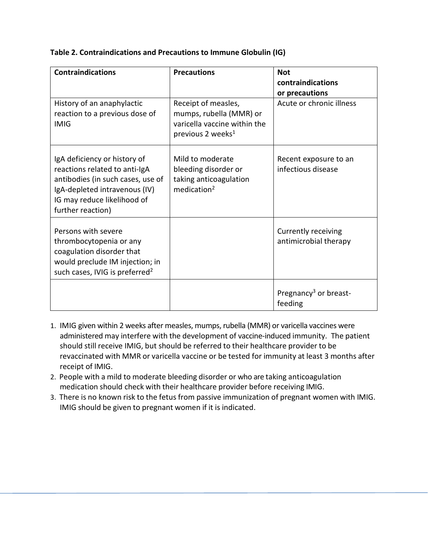| <b>Contraindications</b>                                                                                                                                                                | <b>Precautions</b>                                                                                              | <b>Not</b><br>contraindications<br>or precautions |
|-----------------------------------------------------------------------------------------------------------------------------------------------------------------------------------------|-----------------------------------------------------------------------------------------------------------------|---------------------------------------------------|
| History of an anaphylactic<br>reaction to a previous dose of<br><b>IMIG</b>                                                                                                             | Receipt of measles,<br>mumps, rubella (MMR) or<br>varicella vaccine within the<br>previous 2 weeks <sup>1</sup> | Acute or chronic illness                          |
| IgA deficiency or history of<br>reactions related to anti-IgA<br>antibodies (in such cases, use of<br>IgA-depleted intravenous (IV)<br>IG may reduce likelihood of<br>further reaction) | Mild to moderate<br>bleeding disorder or<br>taking anticoagulation<br>medication <sup>2</sup>                   | Recent exposure to an<br>infectious disease       |
| Persons with severe<br>thrombocytopenia or any<br>coagulation disorder that<br>would preclude IM injection; in<br>such cases, IVIG is preferred <sup>2</sup>                            |                                                                                                                 | Currently receiving<br>antimicrobial therapy      |
|                                                                                                                                                                                         |                                                                                                                 | Pregnancy <sup>3</sup> or breast-<br>feeding      |

#### **Table 2. Contraindications and Precautions to Immune Globulin (IG)**

- 1. IMIG given within 2 weeks after measles, mumps, rubella (MMR) or varicella vaccines were administered may interfere with the development of vaccine-induced immunity. The patient should still receive IMIG, but should be referred to their healthcare provider to be revaccinated with MMR or varicella vaccine or be tested for immunity at least 3 months after receipt of IMIG.
- 2. People with a mild to moderate bleeding disorder or who are taking anticoagulation medication should check with their healthcare provider before receiving IMIG.
- 3. There is no known risk to the fetus from passive immunization of pregnant women with IMIG. IMIG should be given to pregnant women if it is indicated.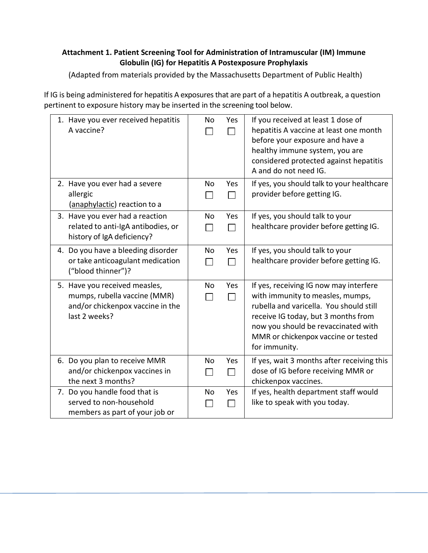# **Attachment 1. Patient Screening Tool for Administration of Intramuscular (IM) Immune Globulin (IG) for Hepatitis A Postexposure Prophylaxis**

(Adapted from materials provided by the Massachusetts Department of Public Health)

If IG is being administered for hepatitis A exposures that are part of a hepatitis A outbreak, a question pertinent to exposure history may be inserted in the screening tool below.

| 1. Have you ever received hepatitis<br>A vaccine?                                                                  | No                          | Yes<br>$\Box$       | If you received at least 1 dose of<br>hepatitis A vaccine at least one month<br>before your exposure and have a<br>healthy immune system, you are<br>considered protected against hepatitis<br>A and do not need IG.                                        |
|--------------------------------------------------------------------------------------------------------------------|-----------------------------|---------------------|-------------------------------------------------------------------------------------------------------------------------------------------------------------------------------------------------------------------------------------------------------------|
| 2. Have you ever had a severe<br>allergic<br>(anaphylactic) reaction to a                                          | <b>No</b>                   | Yes<br>$\Box$       | If yes, you should talk to your healthcare<br>provider before getting IG.                                                                                                                                                                                   |
| 3. Have you ever had a reaction<br>related to anti-IgA antibodies, or<br>history of IgA deficiency?                | <b>No</b>                   | Yes<br>П            | If yes, you should talk to your<br>healthcare provider before getting IG.                                                                                                                                                                                   |
| 4. Do you have a bleeding disorder<br>or take anticoagulant medication<br>("blood thinner")?                       | No                          | Yes<br>П            | If yes, you should talk to your<br>healthcare provider before getting IG.                                                                                                                                                                                   |
| 5. Have you received measles,<br>mumps, rubella vaccine (MMR)<br>and/or chickenpox vaccine in the<br>last 2 weeks? | No<br>ΙI                    | Yes<br>П            | If yes, receiving IG now may interfere<br>with immunity to measles, mumps,<br>rubella and varicella. You should still<br>receive IG today, but 3 months from<br>now you should be revaccinated with<br>MMR or chickenpox vaccine or tested<br>for immunity. |
| 6. Do you plan to receive MMR<br>and/or chickenpox vaccines in<br>the next 3 months?                               | <b>No</b><br>$\blacksquare$ | Yes<br>$\mathsf{L}$ | If yes, wait 3 months after receiving this<br>dose of IG before receiving MMR or<br>chickenpox vaccines.                                                                                                                                                    |
| 7. Do you handle food that is<br>served to non-household<br>members as part of your job or                         | No                          | Yes<br>П            | If yes, health department staff would<br>like to speak with you today.                                                                                                                                                                                      |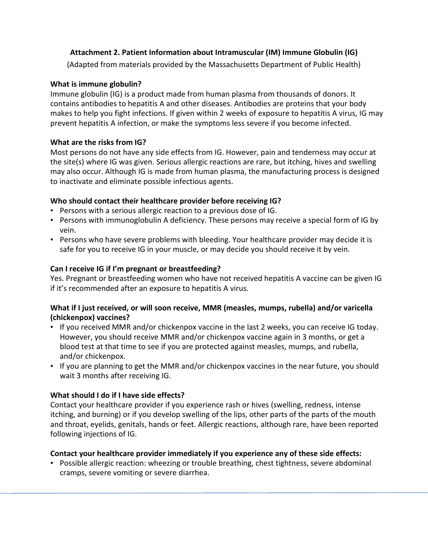## **Attachment 2. Patient Information about Intramuscular (IM) Immune Globulin (IG)**

(Adapted from materials provided by the Massachusetts Department of Public Health)

## **What is immune globulin?**

Immune globulin (IG) is a product made from human plasma from thousands of donors. It contains antibodies to hepatitis A and other diseases. Antibodies are proteins that your body makes to help you fight infections. If given within 2 weeks of exposure to hepatitis A virus, IG may prevent hepatitis A infection, or make the symptoms less severe if you become infected.

# **What are the risks from IG?**

Most persons do not have any side effects from IG. However, pain and tenderness may occur at the site(s) where IG was given. Serious allergic reactions are rare, but itching, hives and swelling may also occur. Although IG is made from human plasma, the manufacturing process is designed to inactivate and eliminate possible infectious agents.

# **Who should contact their healthcare provider before receiving IG?**

- Persons with a serious allergic reaction to a previous dose of IG.
- Persons with immunoglobulin A deficiency. These persons may receive a special form of IG by vein.
- Persons who have severe problems with bleeding. Your healthcare provider may decide it is safe for you to receive IG in your muscle, or may decide you should receive it by vein.

# **Can I receive IG if I'm pregnant or breastfeeding?**

Yes. Pregnant or breastfeeding women who have not received hepatitis A vaccine can be given IG if it's recommended after an exposure to hepatitis A virus.

## **What if I just received, or will soon receive, MMR (measles, mumps, rubella) and/or varicella (chickenpox) vaccines?**

- If you received MMR and/or chickenpox vaccine in the last 2 weeks, you can receive IG today. However, you should receive MMR and/or chickenpox vaccine again in 3 months, or get a blood test at that time to see if you are protected against measles, mumps, and rubella, and/or chickenpox.
- If you are planning to get the MMR and/or chickenpox vaccines in the near future, you should wait 3 months after receiving IG.

## **What should I do if I have side effects?**

Contact your healthcare provider if you experience rash or hives (swelling, redness, intense itching, and burning) or if you develop swelling of the lips, other parts of the parts of the mouth and throat, eyelids, genitals, hands or feet. Allergic reactions, although rare, have been reported following injections of IG.

## **Contact your healthcare provider immediately if you experience any of these side effects:**

• Possible allergic reaction: wheezing or trouble breathing, chest tightness, severe abdominal cramps, severe vomiting or severe diarrhea.